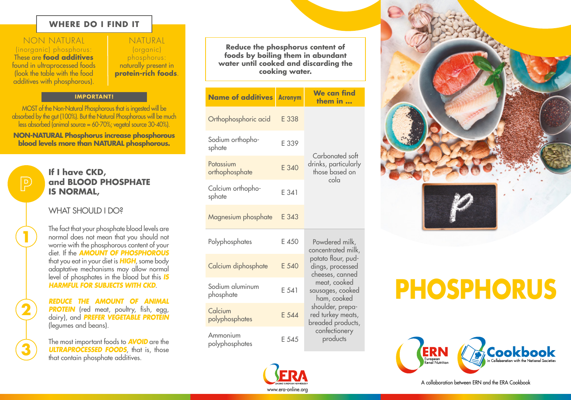# **WHERE DO I FIND IT**

NON NATURAL (inorganic) phosphorus: These are **food additives** found in ultraprocessed foods (look the table with the food additives with phosphorous).

**2**

 $\overline{\mathsf{P}}$ 

**3**

NATURAL (organic) phosphorus: naturally present in **protein-rich foods**.

#### **IMPORTANT!**

MOST of the Non-Natural Phosphorous that is ingested will be absorbed by the gut (100%). But the Natural Phosphorous will be much less absorbed (animal source = 60-70%; vegetal source 30-40%).

**NON-NATURAL Phosphorus increase phosphorous blood levels more than NATURAL phosphorous.**

# **If I have CKD, and BLOOD PHOSPHATE IS NORMAL,**

# WHAT SHOULD LDO?

The fact that your phosphate blood levels are<br>
normal does not mean that you should not<br>
worrie with the phosphorous content of your worrie with the phosphorous content of your diet. If the *AMOUNT OF PHOSPHOROUS* that you eat in your diet is *HIGH*, some body adaptative mechanisms may allow normal level of phosphates in the blood but this *IS HARMFUL FOR SUBJECTS WITH CKD*.

> *REDUCE THE AMOUNT OF ANIMAL*  **PROTEIN** (red meat, poultry, fish, egg, dairy), and *PREFER VEGETABLE PROTEIN*  (legumes and beans).

> The most important foods to *AVOID* are the **ULTRAPROCESSED FOODS**, that is, those that contain phosphate additives.

**Reduce the phosphorus content of foods by boiling them in abundant water until cooked and discarding the cooking water.**

| <b>Name of additives</b>     | <b>Acronym</b> | <b>We can find</b><br>them in                                                                                                                                                                                                                   |
|------------------------------|----------------|-------------------------------------------------------------------------------------------------------------------------------------------------------------------------------------------------------------------------------------------------|
| Orthophosphoric acid         | E 338          | Carbonated soft<br>drinks, particularly<br>those based on<br>cola                                                                                                                                                                               |
| Sodium orthopho-<br>sphate   | E 339          |                                                                                                                                                                                                                                                 |
| Potassium<br>orthophosphate  | E 340          |                                                                                                                                                                                                                                                 |
| Calcium orthopho-<br>sphate  | E 341          |                                                                                                                                                                                                                                                 |
| Magnesium phosphate          | E 343          |                                                                                                                                                                                                                                                 |
| Polyphosphates               | E 450          | Powdered milk,<br>concentrated milk,<br>potato flour, pud-<br>dings, processed<br>cheeses, canned<br>meat, cooked<br>sausages, cooked<br>ham, cooked<br>shoulder, prepa-<br>red turkey meats,<br>breaded products,<br>confectionery<br>products |
| Calcium diphosphate          | E 540          |                                                                                                                                                                                                                                                 |
| Sodium aluminum<br>phosphate | E 541          |                                                                                                                                                                                                                                                 |
| Calcium<br>polyphosphates    | E 544          |                                                                                                                                                                                                                                                 |
| Ammonium<br>polyphosphates   | E 545          |                                                                                                                                                                                                                                                 |



# **PHOSPHORUS**



A collaboration between ERN and the ERA Cookbook